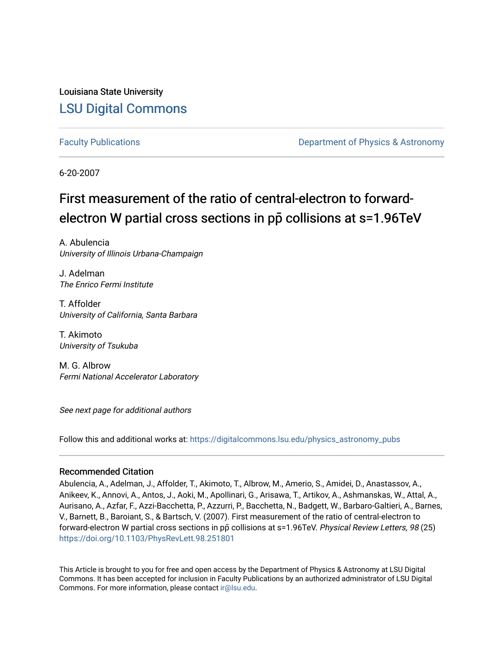Louisiana State University [LSU Digital Commons](https://digitalcommons.lsu.edu/)

[Faculty Publications](https://digitalcommons.lsu.edu/physics_astronomy_pubs) **Example 2** Constant Department of Physics & Astronomy

6-20-2007

## First measurement of the ratio of central-electron to forwardelectron W partial cross sections in pp collisions at s=1.96TeV

A. Abulencia University of Illinois Urbana-Champaign

J. Adelman The Enrico Fermi Institute

T. Affolder University of California, Santa Barbara

T. Akimoto University of Tsukuba

M. G. Albrow Fermi National Accelerator Laboratory

See next page for additional authors

Follow this and additional works at: [https://digitalcommons.lsu.edu/physics\\_astronomy\\_pubs](https://digitalcommons.lsu.edu/physics_astronomy_pubs?utm_source=digitalcommons.lsu.edu%2Fphysics_astronomy_pubs%2F2539&utm_medium=PDF&utm_campaign=PDFCoverPages) 

## Recommended Citation

Abulencia, A., Adelman, J., Affolder, T., Akimoto, T., Albrow, M., Amerio, S., Amidei, D., Anastassov, A., Anikeev, K., Annovi, A., Antos, J., Aoki, M., Apollinari, G., Arisawa, T., Artikov, A., Ashmanskas, W., Attal, A., Aurisano, A., Azfar, F., Azzi-Bacchetta, P., Azzurri, P., Bacchetta, N., Badgett, W., Barbaro-Galtieri, A., Barnes, V., Barnett, B., Baroiant, S., & Bartsch, V. (2007). First measurement of the ratio of central-electron to forward-electron W partial cross sections in pp collisions at s=1.96TeV. Physical Review Letters, 98 (25) <https://doi.org/10.1103/PhysRevLett.98.251801>

This Article is brought to you for free and open access by the Department of Physics & Astronomy at LSU Digital Commons. It has been accepted for inclusion in Faculty Publications by an authorized administrator of LSU Digital Commons. For more information, please contact [ir@lsu.edu](mailto:ir@lsu.edu).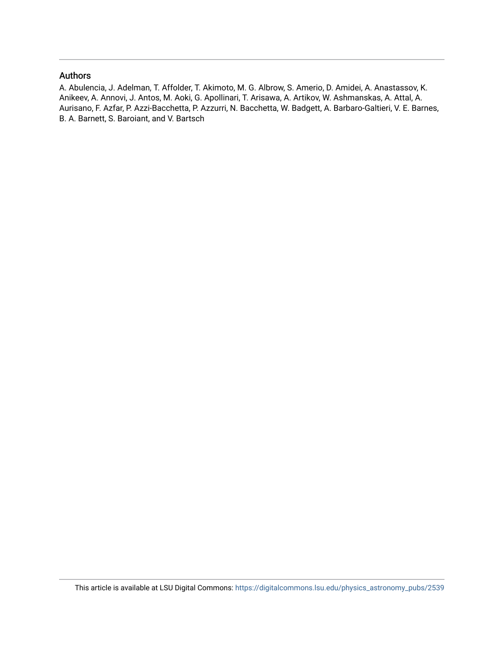## Authors

A. Abulencia, J. Adelman, T. Affolder, T. Akimoto, M. G. Albrow, S. Amerio, D. Amidei, A. Anastassov, K. Anikeev, A. Annovi, J. Antos, M. Aoki, G. Apollinari, T. Arisawa, A. Artikov, W. Ashmanskas, A. Attal, A. Aurisano, F. Azfar, P. Azzi-Bacchetta, P. Azzurri, N. Bacchetta, W. Badgett, A. Barbaro-Galtieri, V. E. Barnes, B. A. Barnett, S. Baroiant, and V. Bartsch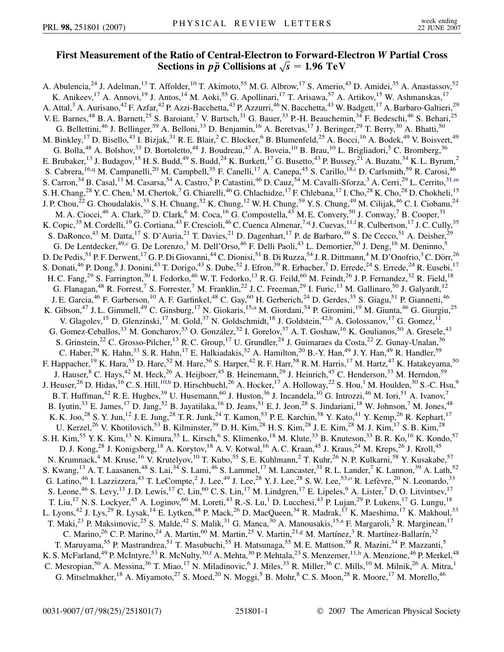## **First Measurement of the Ratio of Central-Electron to Forward-Electron** *W* **Partial Cross Sections in** *pp* **Collisions at** *s* <sup>p</sup> **<sup>1</sup>***:***96 TeV**

<span id="page-2-8"></span><span id="page-2-7"></span><span id="page-2-6"></span><span id="page-2-5"></span><span id="page-2-4"></span><span id="page-2-3"></span><span id="page-2-2"></span><span id="page-2-1"></span><span id="page-2-0"></span>A. Abulencia,<sup>24</sup> J. Adelman,<sup>13</sup> T. Affolder,<sup>10</sup> T. Akimoto,<sup>55</sup> M. G. Albrow,<sup>17</sup> S. Amerio,<sup>43</sup> D. Amidei,<sup>35</sup> A. Anastassov,<sup>52</sup> K. Anikeev,<sup>17</sup> A. Annovi,<sup>19</sup> J. Antos,<sup>14</sup> M. Aoki,<sup>55</sup> G. Apollinari,<sup>17</sup> T. Arisawa,<sup>57</sup> A. Artikov,<sup>15</sup> W. Ashmanskas,<sup>17</sup> A. Attal,<sup>3</sup> A. Aurisano,<sup>42</sup> F. Azfar,<sup>42</sup> P. Azzi-Bacchetta,<sup>43</sup> P. Azzurri,<sup>46</sup> N. Bacchetta,<sup>43</sup> W. Badgett,<sup>17</sup> A. Barbaro-Galtieri,<sup>29</sup> V. E. Barnes,<sup>48</sup> B. A. Barnett,<sup>25</sup> S. Baroiant,<sup>7</sup> V. Bartsch,<sup>31</sup> G. Bauer,<sup>33</sup> P.-H. Beauchemin,<sup>34</sup> F. Bedeschi,<sup>46</sup> S. Behari,<sup>25</sup> G. Bellettini,<sup>46</sup> J. Bellinger,<sup>59</sup> A. Belloni,<sup>33</sup> D. Benjamin,<sup>16</sup> A. Beretvas,<sup>17</sup> J. Beringer,<sup>29</sup> T. Berry,<sup>30</sup> A. Bhatti,<sup>50</sup> M. Binkley,<sup>17</sup> D. Bisello,<sup>43</sup> I. Bizjak,<sup>31</sup> R. E. Blair,<sup>2</sup> C. Blocker,<sup>6</sup> B. Blumenfeld,<sup>25</sup> A. Bocci,<sup>16</sup> A. Bodek,<sup>49</sup> V. Boisvert,<sup>49</sup> G. Bolla,<sup>48</sup> A. Bolshov,<sup>33</sup> D. Bortoletto,<sup>48</sup> J. Boudreau,<sup>47</sup> A. Boveia,<sup>10</sup> B. Brau,<sup>10</sup> L. Brigliadori,<sup>5</sup> C. Bromberg,<sup>36</sup> E. Brubaker,<sup>13</sup> J. Budagov,<sup>15</sup> H. S. Budd,<sup>49</sup> S. Budd,<sup>24</sup> K. Burkett,<sup>17</sup> G. Busetto,<sup>43</sup> P. Bussey,<sup>21</sup> A. Buzatu,<sup>34</sup> K. L. Byrum,<sup>2</sup> S. Cabrera, <sup>16,[q](#page-8-0)</sup> M. Campanelli,<sup>20</sup> M. Campbell,<sup>35</sup> F. Canelli,<sup>17</sup> A. Canepa,<sup>45</sup> S. Carillo,<sup>18[,i](#page-8-1)</sup> D. Carlsmith,<sup>59</sup> R. Carosi,<sup>46</sup> S. Carron,<sup>34</sup> B. Casal,<sup>11</sup> M. Casarsa,<sup>54</sup> A. Castro,<sup>5</sup> P. Catastini,<sup>46</sup> D. Cauz,<sup>54</sup> M. Cavalli-Sforza,<sup>3</sup> A. Cerri,<sup>29</sup> L. Cerrito,<sup>31,[m](#page-8-2)</sup> S. H. Chang,<sup>28</sup> Y. C. Chen,<sup>1</sup> M. Chertok,<sup>7</sup> G. Chiarelli,<sup>46</sup> G. Chlachidze,<sup>17</sup> F. Chlebana,<sup>17</sup> I. Cho,<sup>28</sup> K. Cho,<sup>28</sup> D. Chokheli,<sup>15</sup> J. P. Chou,<sup>22</sup> G. Choudalakis,<sup>33</sup> S. H. Chuang,<sup>52</sup> K. Chung,<sup>12</sup> W. H. Chung,<sup>59</sup> Y. S. Chung,<sup>49</sup> M. Cilijak,<sup>46</sup> C. I. Ciobanu,<sup>24</sup> M. A. Ciocci,<sup>46</sup> A. Clark,<sup>20</sup> D. Clark,<sup>6</sup> M. Coca,<sup>16</sup> G. Compostella,<sup>43</sup> M. E. Convery,<sup>50</sup> J. Conway,<sup>7</sup> B. Cooper,<sup>31</sup> K. Copic,<sup>35</sup> M. Cordelli,<sup>19</sup> G. Cortiana,<sup>43</sup> F. Crescioli,<sup>46</sup> C. Cuenca Almenar,<sup>7[,q](#page-8-0)</sup> J. Cuevas,<sup>11,[l](#page-8-3)</sup> R. Culbertson,<sup>17</sup> J. C. Cully,<sup>35</sup> S. DaRonco,<sup>43</sup> M. Datta,<sup>17</sup> S. D'Auria,<sup>21</sup> T. Davies,<sup>21</sup> D. Dagenhart,<sup>17</sup> P. de Barbaro,<sup>49</sup> S. De Cecco,<sup>51</sup> A. Deisher,<sup>29</sup> G. De Lentde[c](#page-8-4)ker,<sup>49,c</sup> G. De Lorenzo,<sup>3</sup> M. Dell'Orso,<sup>46</sup> F. Delli Paoli,<sup>43</sup> L. Demortier,<sup>50</sup> J. Deng,<sup>16</sup> M. Deninno,<sup>5</sup> D. De Pedis, <sup>51</sup> P. F. Derwent, <sup>17</sup> G. P. Di Giovanni, <sup>44</sup> C. Dionisi, <sup>51</sup> B. Di Ruzza, <sup>54</sup> J. R. Dittmann, <sup>4</sup> M. D'Onofrio, <sup>3</sup> C. Dörr, <sup>26</sup> S. Donati, <sup>46</sup> P. Dong, <sup>8</sup> J. Donini, <sup>43</sup> T. Dorigo, <sup>43</sup> S. Dube, <sup>52</sup> J. Efron, <sup>39</sup> R. Erbacher, <sup>7</sup> D. Errede, <sup>24</sup> S. Errede, <sup>24</sup> R. Eusebi, <sup>17</sup> H. C. Fang,<sup>29</sup> S. Farrington,<sup>30</sup> I. Fedorko,<sup>46</sup> W. T. Fedorko,<sup>13</sup> R. G. Feild,<sup>60</sup> M. Feindt,<sup>26</sup> J. P. Fernandez,<sup>32</sup> R. Field,<sup>18</sup> G. Flanagan,<sup>48</sup> R. Forrest,<sup>7</sup> S. Forrester,<sup>7</sup> M. Franklin,<sup>22</sup> J. C. Freeman,<sup>29</sup> I. Furic,<sup>13</sup> M. Gallinaro,<sup>50</sup> J. Galyardt,<sup>12</sup> J. E. Garcia,<sup>46</sup> F. Garberson,<sup>10</sup> A. F. Garfinkel,<sup>48</sup> C. Gay,<sup>60</sup> H. Gerberich,<sup>24</sup> D. Gerdes,<sup>35</sup> S. Giagu,<sup>51</sup> P. Giannetti,<sup>46</sup> K. Gibson,<sup>47</sup> J. L. Gimmell,<sup>49</sup> C. Ginsburg,<sup>17</sup> N. Giokaris,<sup>15[,a](#page-8-5)</sup> M. Giordani,<sup>54</sup> P. Giromini,<sup>19</sup> M. Giunta,<sup>46</sup> G. Giurgiu,<sup>25</sup> V. Glagolev,<sup>15</sup> D. Glenzinski,<sup>17</sup> M. Gold,<sup>37</sup> N. Goldschmidt,<sup>18</sup> J. Goldstein,<sup>42[,b](#page-8-6)</sup> A. Golossanov,<sup>17</sup> G. Gomez,<sup>11</sup> G. Gomez-Ceballos,<sup>33</sup> M. Goncharov,<sup>53</sup> O. González,<sup>32</sup> I. Gorelov,<sup>37</sup> A. T. Goshaw,<sup>16</sup> K. Goulianos,<sup>50</sup> A. Gresele,<sup>43</sup> S. Grinstein,<sup>22</sup> C. Grosso-Pilcher,<sup>13</sup> R. C. Group,<sup>17</sup> U. Grundler,<sup>24</sup> J. Guimaraes da Costa,<sup>22</sup> Z. Gunay-Unalan,<sup>36</sup> C. Haber,<sup>29</sup> K. Hahn,<sup>33</sup> S. R. Hahn,<sup>17</sup> E. Halkiadakis,<sup>52</sup> A. Hamilton,<sup>20</sup> B.-Y. Han,<sup>49</sup> J. Y. Han,<sup>49</sup> R. Handler,<sup>59</sup> F. Happacher, <sup>19</sup> K. Hara, <sup>55</sup> D. Hare, <sup>52</sup> M. Hare, <sup>56</sup> S. Harper, <sup>42</sup> R. F. Harr, <sup>58</sup> R. M. Harris, <sup>17</sup> M. Hartz, <sup>47</sup> K. Hatakeyama, <sup>50</sup> J. Hauser,<sup>8</sup> C. Hays,<sup>42</sup> M. Heck,<sup>26</sup> A. Heijboer,<sup>45</sup> B. Heinemann,<sup>29</sup> J. Heinrich,<sup>45</sup> C. Henderson,<sup>33</sup> M. Herndon,<sup>59</sup> J. Heuser,<sup>26</sup> D. Hidas,<sup>16</sup> C. S. Hill,<sup>10[,b](#page-8-6)</sup> D. Hirschbuehl,<sup>26</sup> A. Hocker,<sup>17</sup> A. Holloway,<sup>22</sup> S. Hou,<sup>1</sup> M. Houlden,<sup>30</sup> S.-C. Hsu,<sup>9</sup> B. T. Huffman,<sup>42</sup> R. E. Hughes,<sup>39</sup> U. Husemann,<sup>60</sup> J. Huston,<sup>36</sup> J. Incandela,<sup>10</sup> G. Introzzi,<sup>46</sup> M. Iori,<sup>51</sup> A. Ivanov,<sup>7</sup> B. Iyutin,  $33$  E. James,  $17$  D. Jang,  $52$  B. Jayatilaka,  $16$  D. Jeans,  $51$  E. J. Jeon,  $28$  S. Jindariani,  $18$  W. Johnson,  $7$  M. Jones,  $48$ K. K. Joo,<sup>28</sup> S. Y. Jun,<sup>12</sup> J. E. Jung,<sup>28</sup> T. R. Junk,<sup>24</sup> T. Kamon,<sup>53</sup> P. E. Karchin,<sup>58</sup> Y. Kato,<sup>41</sup> Y. Kemp,<sup>26</sup> R. Kephart,<sup>17</sup> U. Kerzel,<sup>26</sup> V. Khotilovich,<sup>53</sup> B. Kilminster,<sup>39</sup> D. H. Kim,<sup>28</sup> H. S. Kim,<sup>28</sup> J. E. Kim,<sup>28</sup> M. J. Kim,<sup>17</sup> S. B. Kim,<sup>28</sup> S. H. Kim,<sup>55</sup> Y. K. Kim,<sup>13</sup> N. Kimura,<sup>55</sup> L. Kirsch,<sup>6</sup> S. Klimenko,<sup>18</sup> M. Klute,<sup>33</sup> B. Knuteson,<sup>33</sup> B. R. Ko,<sup>16</sup> K. Kondo,<sup>57</sup> D. J. Kong,<sup>28</sup> J. Konigsberg,<sup>18</sup> A. Korytov,<sup>18</sup> A. V. Kotwal,<sup>16</sup> A. C. Kraan,<sup>45</sup> J. Kraus,<sup>24</sup> M. Kreps,<sup>26</sup> J. Kroll,<sup>45</sup> N. Krumnack,<sup>4</sup> M. Kruse,<sup>16</sup> V. Krutelyov,<sup>10</sup> T. Kubo,<sup>55</sup> S. E. Kuhlmann,<sup>2</sup> T. Kuhr,<sup>26</sup> N. P. Kulkarni,<sup>58</sup> Y. Kusakabe,<sup>57</sup> S. Kwang,<sup>13</sup> A. T. Laasanen,<sup>48</sup> S. Lai,<sup>34</sup> S. Lami,<sup>46</sup> S. Lammel,<sup>17</sup> M. Lancaster,<sup>31</sup> R. L. Lander,<sup>7</sup> K. Lannon,<sup>39</sup> A. Lath,<sup>52</sup> G. Latin[o](#page-8-7), <sup>46</sup> I. Lazzizzera, <sup>43</sup> T. LeCompte, <sup>2</sup> J. Lee, <sup>49</sup> J. Lee, <sup>28</sup> Y. J. Lee, <sup>28</sup> S. W. Lee, <sup>53,0</sup> R. Lefèvre, <sup>20</sup> N. Leonardo, <sup>33</sup> S. Leone, <sup>46</sup> S. Levy, <sup>13</sup> J. D. Lewis, <sup>17</sup> C. Lin, <sup>60</sup> C. S. Lin, <sup>17</sup> M. Lindgren, <sup>17</sup> E. Lipeles, <sup>9</sup> A. Lister, <sup>7</sup> D. O. Litvintsev, <sup>17</sup> T. Liu,<sup>17</sup> N. S. Lockyer,<sup>45</sup> A. Loginov,<sup>60</sup> M. Loreti,<sup>43</sup> R.-S. Lu,<sup>1</sup> D. Lucchesi,<sup>43</sup> P. Lujan,<sup>29</sup> P. Lukens,<sup>17</sup> G. Lungu,<sup>18</sup> L. Lyons,<sup>42</sup> J. Lys,<sup>29</sup> R. Lysak,<sup>14</sup> E. Lytken,<sup>48</sup> P. Mack,<sup>26</sup> D. MacQueen,<sup>34</sup> R. Madrak,<sup>17</sup> K. Maeshima,<sup>17</sup> K. Makhoul,<sup>33</sup> T. M[a](#page-8-5)ki,<sup>23</sup> P. Maksimovic,<sup>25</sup> S. Malde,<sup>42</sup> S. Malik,<sup>31</sup> G. Manca,<sup>30</sup> A. Manousakis,<sup>15,a</sup> F. Margaroli,<sup>5</sup> R. Marginean,<sup>17</sup> C. Marino,<sup>26</sup> C. P. Marino,<sup>24</sup> A. Martin,<sup>60</sup> M. Martin,<sup>25</sup> V. Martin,<sup>21,[g](#page-8-8)</sup> M. Martínez,<sup>3</sup> R. Martínez-Ballarín,<sup>32</sup> T. Maruyama,<sup>55</sup> P. Mastrandrea,<sup>51</sup> T. Masubuchi,<sup>55</sup> H. Matsunaga,<sup>55</sup> M. E. Mattson,<sup>58</sup> R. Mazini,<sup>34</sup> P. Mazzanti,<sup>5</sup> K. S. McFarland, <sup>49</sup> P. McIntyre, <sup>53</sup> R. McNulty, <sup>30,[f](#page-8-9)</sup> A. Mehta, <sup>30</sup> P. Mehtala, <sup>23</sup> S. Menzemer, <sup>11[,h](#page-8-10)</sup> A. Menzione, <sup>46</sup> P. Merkel, <sup>48</sup> C. Mesropian,  $^{50}$  A. Messina,  $^{36}$  T. Miao,  $^{17}$  N. Miladinovic,  $^6$  J. Miles,  $^{33}$  R. Miller,  $^{36}$  C. Mills,  $^{10}$  M. Milnik,  $^{26}$  A. Mitra,  $^{11}$ G. Mitselmakher,<sup>18</sup> A. Miyamoto,<sup>27</sup> S. Moed,<sup>20</sup> N. Moggi,<sup>5</sup> B. Mohr,<sup>8</sup> C. S. Moon,<sup>28</sup> R. Moore,<sup>17</sup> M. Morello,<sup>46</sup>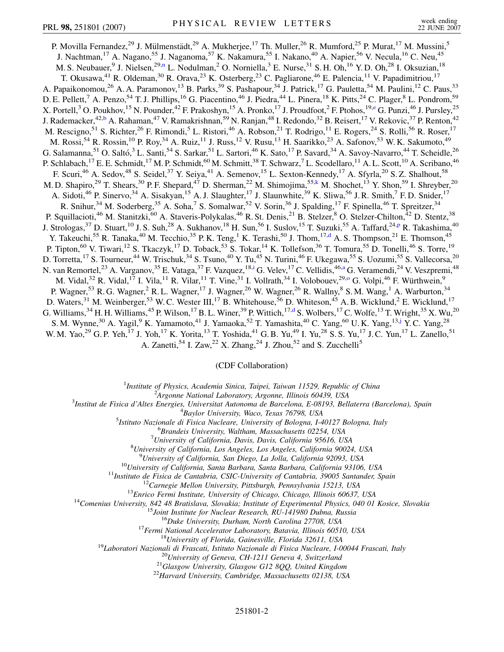<span id="page-3-4"></span><span id="page-3-3"></span><span id="page-3-1"></span>P. Movilla Fernandez,<sup>29</sup> J. Mülmenstädt,<sup>29</sup> A. Mukherjee,<sup>17</sup> Th. Muller,<sup>26</sup> R. Mumford,<sup>25</sup> P. Murat,<sup>17</sup> M. Mussini,<sup>5</sup> J. Nachtman,<sup>17</sup> A. Nagano,<sup>55</sup> J. Naganoma,<sup>57</sup> K. Nakamura,<sup>55</sup> I. Nakano,<sup>40</sup> A. Napier,<sup>56</sup> V. Necula,<sup>16</sup> C. Neu,<sup>45</sup> M. S. Neubauer, <sup>9</sup> J. Nielse[n](#page-8-11), <sup>29,n</sup> L. Nodulman, <sup>2</sup> O. Norniella, <sup>3</sup> E. Nurse, <sup>31</sup> S. H. Oh, <sup>16</sup> Y. D. Oh, <sup>28</sup> I. Oksuzian, <sup>18</sup> T. Okusawa,<sup>41</sup> R. Oldeman,<sup>30</sup> R. Orava,<sup>23</sup> K. Osterberg,<sup>23</sup> C. Pagliarone,<sup>46</sup> E. Palencia,<sup>11</sup> V. Papadimitriou,<sup>17</sup> A. Papaikonomou,<sup>26</sup> A. A. Paramonov,<sup>13</sup> B. Parks,<sup>39</sup> S. Pashapour,<sup>34</sup> J. Patrick,<sup>17</sup> G. Pauletta,<sup>54</sup> M. Paulini,<sup>12</sup> C. Paus,<sup>33</sup> D. E. Pellett,<sup>7</sup> A. Penzo,<sup>54</sup> T. J. Phillips,<sup>16</sup> G. Piacentino,<sup>46</sup> J. Piedra,<sup>44</sup> L. Pinera,<sup>18</sup> K. Pitts,<sup>24</sup> C. Plager,<sup>8</sup> L. Pondrom,<sup>59</sup> X. Portell,<sup>3</sup> O. Poukhov,<sup>15</sup> N. Pounder,<sup>42</sup> F. Prakoshyn,<sup>15</sup> A. Pronko,<sup>17</sup> J. Proudfoot,<sup>2</sup> F. Ptohos,<sup>19[,e](#page-8-12)</sup> G. Punzi,<sup>46</sup> J. Pursley,<sup>25</sup> J. Rademacker,<sup>42[,b](#page-8-6)</sup> A. Rahaman,<sup>47</sup> V. Ramakrishnan,<sup>59</sup> N. Ranjan,<sup>48</sup> I. Redondo,<sup>32</sup> B. Reisert,<sup>17</sup> V. Rekovic,<sup>37</sup> P. Renton,<sup>42</sup> M. Rescigno,<sup>51</sup> S. Richter,<sup>26</sup> F. Rimondi,<sup>5</sup> L. Ristori,<sup>46</sup> A. Robson,<sup>21</sup> T. Rodrigo,<sup>11</sup> E. Rogers,<sup>24</sup> S. Rolli,<sup>56</sup> R. Roser,<sup>17</sup> M. Rossi,<sup>54</sup> R. Rossin,<sup>10</sup> P. Roy,<sup>34</sup> A. Ruiz,<sup>11</sup> J. Russ,<sup>12</sup> V. Rusu,<sup>13</sup> H. Saarikko,<sup>23</sup> A. Safonov,<sup>53</sup> W. K. Sakumoto,<sup>49</sup> G. Salamanna,<sup>51</sup> O. Saltó,<sup>3</sup> L. Santi,<sup>54</sup> S. Sarkar,<sup>51</sup> L. Sartori,<sup>46</sup> K. Sato,<sup>17</sup> P. Savard,<sup>34</sup> A. Savoy-Navarro,<sup>44</sup> T. Scheidle,<sup>26</sup> P. Schlabach,<sup>17</sup> E. E. Schmidt,<sup>17</sup> M. P. Schmidt,<sup>60</sup> M. Schmitt,<sup>38</sup> T. Schwarz,<sup>7</sup> L. Scodellaro,<sup>11</sup> A. L. Scott,<sup>10</sup> A. Scribano,<sup>46</sup> F. Scuri,<sup>46</sup> A. Sedov,<sup>48</sup> S. Seidel,<sup>37</sup> Y. Seiya,<sup>41</sup> A. Semenov,<sup>15</sup> L. Sexton-Kennedy,<sup>17</sup> A. Sfyrla,<sup>20</sup> S.Z. Shalhout,<sup>58</sup> M. D. Shapiro,<sup>29</sup> T. Shears,<sup>30</sup> P. F. Shepard,<sup>47</sup> D. Sherman,<sup>22</sup> M. Shimojima,<sup>55[,k](#page-8-13)</sup> M. Shochet,<sup>13</sup> Y. Shon,<sup>59</sup> I. Shreyber,<sup>20</sup> A. Sidoti,<sup>46</sup> P. Sinervo,<sup>34</sup> A. Sisakyan,<sup>15</sup> A. J. Slaughter,<sup>17</sup> J. Slaunwhite,<sup>39</sup> K. Sliwa,<sup>56</sup> J. R. Smith,<sup>7</sup> F. D. Snider,<sup>17</sup> R. Snihur,<sup>34</sup> M. Soderberg,<sup>35</sup> A. Soha,<sup>7</sup> S. Somalwar,<sup>52</sup> V. Sorin,<sup>36</sup> J. Spalding,<sup>17</sup> F. Spinella,<sup>46</sup> T. Spreitzer,<sup>34</sup> P. Squillacioti,<sup>46</sup> M. Stanitzki,<sup>60</sup> A. Staveris-Polykalas,<sup>46</sup> R. St. Denis,<sup>21</sup> B. Stelzer,<sup>8</sup> O. Stelzer-Chilton,<sup>42</sup> D. Stentz,<sup>38</sup> J. Strologas,<su[p](#page-8-14)>37</sup> D. Stuart,<sup>10</sup> J. S. Suh,<sup>28</sup> A. Sukhanov,<sup>18</sup> H. Sun,<sup>56</sup> I. Suslov,<sup>15</sup> T. Suzuki,<sup>55</sup> A. Taffard,<sup>24,p</sup> R. Takashima,<sup>40</sup> Y. Takeuchi,<sup>55</sup> R. Tanaka,<sup>40</sup> M. Tecchio,<sup>35</sup> P. K. Teng,<sup>1</sup> K. Terashi,<sup>50</sup> J. Thom,<sup>17,[d](#page-8-15)</sup> A. S. Thompson,<sup>21</sup> E. Thomson,<sup>45</sup> P. Tipton,<sup>60</sup> V. Tiwari,<sup>12</sup> S. Tkaczyk,<sup>17</sup> D. Toback,<sup>53</sup> S. Tokar,<sup>14</sup> K. Tollefson,<sup>36</sup> T. Tomura,<sup>55</sup> D. Tonelli,<sup>46</sup> S. Torre,<sup>19</sup> D. Torretta,<sup>17</sup> S. Tourneur,<sup>44</sup> W. Trischuk,<sup>34</sup> S. Tsuno,<sup>40</sup> Y. Tu,<sup>45</sup> N. Turini,<sup>46</sup> F. Ukegawa,<sup>55</sup> S. Uozumi,<sup>55</sup> S. Vallecorsa,<sup>20</sup> N. van Remortel,<sup>23</sup> A. Varganov,<sup>35</sup> E. Vataga,<sup>37</sup> F. Vazquez, <sup>18[,i](#page-8-1)</sup> G. Velev, <sup>17</sup> C. Vellidis, <sup>46[,a](#page-8-5)</sup> G. Veramendi, <sup>24</sup> V. Veszpremi, <sup>48</sup> M. Vidal,<sup>32</sup> R. Vidal,<sup>17</sup> I. Vila,<sup>11</sup> R. Vilar,<sup>11</sup> T. Vine,<sup>31</sup> I. Vollrath,<sup>34</sup> I. Volobouev,<sup>29,0</sup> G. Volpi,<sup>46</sup> F. Würthwein,<sup>9</sup> P. Wagner,<sup>53</sup> R. G. Wagner,<sup>2</sup> R. L. Wagner,<sup>17</sup> J. Wagner,<sup>26</sup> W. Wagner,<sup>26</sup> R. Wallny,<sup>8</sup> S. M. Wang,<sup>1</sup> A. Warburton,<sup>34</sup> D. Waters,<sup>31</sup> M. Weinberger,<sup>53</sup> W. C. Wester III,<sup>17</sup> B. Whitehouse,<sup>56</sup> D. Whiteson,<sup>45</sup> A. B. Wicklund,<sup>2</sup> E. Wicklund,<sup>17</sup> G. Williams, <sup>34</sup> H. H. Williams, <sup>45</sup> P. Wilson, <sup>17</sup> B. L. Winer, <sup>39</sup> P. Wittich, <sup>17,[d](#page-8-15)</sup> S. Wolbers, <sup>17</sup> C. Wolfe, <sup>13</sup> T. Wright, <sup>35</sup> X. Wu, <sup>20</sup> S. M. Wynne,<sup>30</sup> A. Yagil,<sup>9</sup> K. Yamamoto,<sup>41</sup> J. Yamaoka,<sup>52</sup> T. Yamashita,<sup>40</sup> C. Yang,<sup>60</sup> U.K. Yang,<sup>13,[j](#page-8-16)</sup> Y.C. Yang,<sup>28</sup> W. M. Yao,<sup>29</sup> G. P. Yeh,<sup>17</sup> J. Yoh,<sup>17</sup> K. Yorita,<sup>13</sup> T. Yoshida,<sup>41</sup> G. B. Yu,<sup>49</sup> I. Yu,<sup>28</sup> S. S. Yu,<sup>17</sup> J. C. Yun,<sup>17</sup> L. Zanello,<sup>51</sup> A. Zanetti,<sup>54</sup> I. Zaw,<sup>22</sup> X. Zhang,<sup>24</sup> J. Zhou,<sup>52</sup> and S. Zucchelli<sup>5</sup>

(CDF Collaboration)

<sup>1</sup>*Institute of Physics, Academia Sinica, Taipei, Taiwan 11529, Republic of China*<br><sup>2</sup><sup>4</sup> *Languna National Laboratory, Argonna Illinois 60430, USA* 

<span id="page-3-5"></span><span id="page-3-2"></span><span id="page-3-0"></span>*Argonne National Laboratory, Argonne, Illinois 60439, USA*<br><sup>3</sup> *Argonne National Laboratory, Argonne, Illinois 60439, USA*<sup>3</sup>

*Institut de Fisica d'Altes Energies, Universitat Autonoma de Barcelona, E-08193, Bellaterra (Barcelona), Spain* <sup>4</sup>

<sup>4</sup>Baylor University, Waco, Texas 76798, USA<br><sup>5</sup> Istitute Nazionale di Fisica Nucleare, University of Bologna, La

*Istituto Nazionale di Fisica Nucleare, University of Bologna, I-40127 Bologna, Italy* <sup>6</sup>

*Brandeis University, Waltham, Massachusetts 02254, USA* <sup>7</sup>

*University of California, Davis, Davis, California 95616, USA* <sup>8</sup>

*University of California, Los Angeles, Los Angeles, California 90024, USA* <sup>9</sup>

<sup>9</sup>University of California, San Diego, La Jolla, California 92093, USA<br>
<sup>10</sup>University of California, Santa Barbara, Santa Barbara, California 93106, USA<br>
<sup>11</sup>Instituto de Eisica de Cantabria, CSIC-University of Cantabri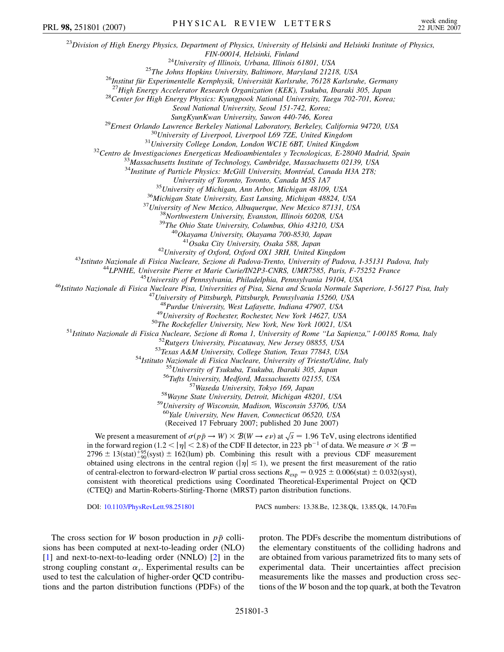<sup>23</sup>*Division of High Energy Physics, Department of Physics, University of Helsinki and Helsinki Institute of Physics,* FIN-00014, Helsinki, Finland<br><sup>24</sup>University of Illinois, Urbana, Illinois 61801, USA<br><sup>25</sup>The Johns Hopkins University, Baltimore, Maryland 21218, USA<br><sup>26</sup>Institut für Experimentelle Kernphysik, Universität Karlsruhe, 7612 *Seoul National University, Seoul 151-742, Korea;* <sup>29</sup>Ernest Orlando Lawrence Berkeley National Laboratory, Berkeley, California 94720, USA<br><sup>30</sup>University of Liverpool, Liverpool L69 7ZE, United Kingdom<br><sup>31</sup>University College London, London WCIE 6BT, United Kingdom<br><sup>32</sup>C <sup>34</sup>Institute of Particle Physics: McGill University, Montréal, Canada H3A 2T8; University of Toronto, Toronto, Canada M5S 1A7<br><sup>35</sup>University of Michigan, Ann Arbor, Michigan 48109, USA<br><sup>36</sup>Michigan State University, East Lansing, Michigan 48824, USA<br><sup>37</sup>University of New Mexico, Albuquerque, New Mexi <sup>42</sup>University of Oxford, Oxford OX1 3RH, United Kingdom<br><sup>43</sup>Istituto Nazionale di Fisica Nucleare, Sezione di Padova-Trento, University of Padova, I-35131 Padova, Italy<br><sup>44</sup>LPNHE, Universite Pierre et Marie Curie/IN2P3-C <sup>48</sup>Purdue University, West Lafayette, Indiana 47907, USA<br><sup>49</sup>University of Rochester, Rochester, New York 14627, USA<br><sup>49</sup>University of Rochester, Rochester, New York 14627, USA<br><sup>51</sup>Istituto Nazionale di Fisica Nucleare, <sup>60</sup>*Yale University, New Haven, Connecticut 06520, USA* (Received 17 February 2007; published 20 June 2007) We present a measurement of  $\sigma(p\bar{p} \to W) \times B(W \to e\nu)$  at  $\sqrt{s} = 1.96$  TeV, using electrons identified in the forward region (1.2  $\lt |\eta| \lt 2.8$ ) of the CDF II detector, in 223 pb<sup>-1</sup> of data. We measure  $\sigma \times \mathcal{B} =$  $2796 \pm 13(stat)^{+95}_{-90}(syst) \pm 162(lum)$  pb. Combining this result with a previous CDF measurement obtained using electrons in the central region ( $|\eta| \le 1$ ), we present the first measurement of the ratio of central-electron to forward-electron *W* partial cross sections  $R_{exp} = 0.925 \pm 0.006(stat) \pm 0.032(syst)$ , consistent with theoretical predictions using Coordinated Theoretical-Experimental Project on QCD (CTEQ) and Martin-Roberts-Stirling-Thorne (MRST) parton distribution functions. DOI: [10.1103/PhysRevLett.98.251801](http://dx.doi.org/10.1103/PhysRevLett.98.251801) PACS numbers: 13.38.Be, 12.38.Qk, 13.85.Qk, 14.70.Fm PRL 98, 251801 (2007) PHYSICAL REVIEW LETTERS week ending

The cross section for *W* boson production in  $p\bar{p}$  collisions has been computed at next-to-leading order (NLO) [\[1\]](#page-8-17) and next-to-next-to-leading order (NNLO) [[2](#page-8-18)] in the strong coupling constant  $\alpha_{s}$ . Experimental results can be used to test the calculation of higher-order QCD contributions and the parton distribution functions (PDFs) of the proton. The PDFs describe the momentum distributions of the elementary constituents of the colliding hadrons and are obtained from various parametrized fits to many sets of experimental data. Their uncertainties affect precision measurements like the masses and production cross sections of the *W* boson and the top quark, at both the Tevatron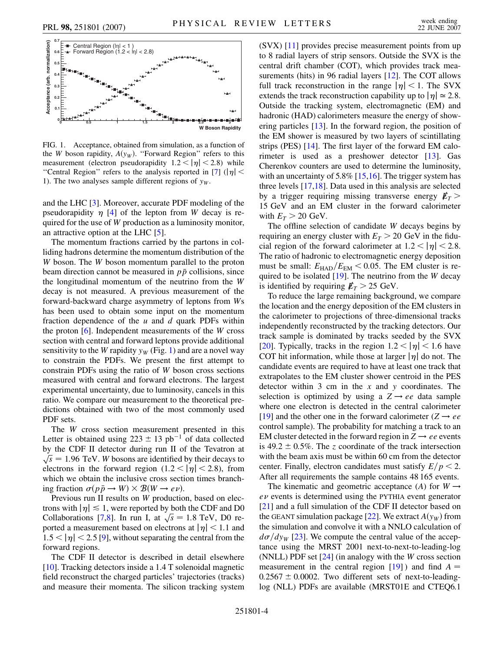<span id="page-5-0"></span>

FIG. 1. Acceptance, obtained from simulation, as a function of the *W* boson rapidity,  $A(y_W)$ . "Forward Region" refers to this measurement (electron pseudorapidity  $1.2 < |\eta| < 2.8$ ) while "Central Region" refers to the analysis reported in [\[7](#page-8-23)]  $(|\eta| <$ 1). The two analyses sample different regions of  $y_w$ .

and the LHC [[3](#page-8-19)]. Moreover, accurate PDF modeling of the pseudorapidity  $\eta$  [\[4\]](#page-8-20) of the lepton from *W* decay is required for the use of *W* production as a luminosity monitor, an attractive option at the LHC [[5\]](#page-8-21).

The momentum fractions carried by the partons in colliding hadrons determine the momentum distribution of the *W* boson. The *W* boson momentum parallel to the proton beam direction cannot be measured in  $p\bar{p}$  collisions, since the longitudinal momentum of the neutrino from the *W* decay is not measured. A previous measurement of the forward-backward charge asymmetry of leptons from *W*s has been used to obtain some input on the momentum fraction dependence of the *u* and *d* quark PDFs within the proton [\[6](#page-8-22)]. Independent measurements of the *W* cross section with central and forward leptons provide additional sensitivity to the *W* rapidity  $y_W$  (Fig. [1](#page-5-0)) and are a novel way to constrain the PDFs. We present the first attempt to constrain PDFs using the ratio of *W* boson cross sections measured with central and forward electrons. The largest experimental uncertainty, due to luminosity, cancels in this ratio. We compare our measurement to the theoretical predictions obtained with two of the most commonly used PDF sets.

The *W* cross section measurement presented in this Letter is obtained using  $223 \pm 13$  pb<sup>-1</sup> of data collected by the CDF II detector during run II of the Tevatron at  $\sqrt{s}$  = 1.96 TeV. *W* bosons are identified by their decays to electrons in the forward region  $(1.2 < |\eta| < 2.8)$ , from which we obtain the inclusive cross section times branching fraction  $\sigma(p\bar{p} \rightarrow W) \times \mathcal{B}(W \rightarrow e\nu)$ .

Previous run II results on *W* production, based on electrons with  $|\eta| \leq 1$ , were reported by both the CDF and D0 from  $\vert \eta \vert \approx 1$ , were reported by both the CDF and D0<br>Collaborations [[7](#page-8-23)[,8\]](#page-8-24). In run I, at  $\sqrt{s} = 1.8$  TeV, D0 reported a measurement based on electrons at  $|\eta|$  < 1.1 and  $1.5 < |\eta| < 2.5$  [[9\]](#page-8-25), without separating the central from the forward regions.

The CDF II detector is described in detail elsewhere [\[10\]](#page-8-26). Tracking detectors inside a 1.4 T solenoidal magnetic field reconstruct the charged particles' trajectories (tracks) and measure their momenta. The silicon tracking system (SVX) [\[11\]](#page-8-27) provides precise measurement points from up to 8 radial layers of strip sensors. Outside the SVX is the central drift chamber (COT), which provides track mea-surements (hits) in 96 radial layers [\[12\]](#page-8-28). The COT allows full track reconstruction in the range  $|\eta|$  < 1. The SVX extends the track reconstruction capability up to  $|\eta| \approx 2.8$ . Outside the tracking system, electromagnetic (EM) and hadronic (HAD) calorimeters measure the energy of showering particles [[13](#page-8-29)]. In the forward region, the position of the EM shower is measured by two layers of scintillating strips (PES) [[14\]](#page-8-30). The first layer of the forward EM calo-rimeter is used as a preshower detector [[13](#page-8-29)]. Gas Cherenkov counters are used to determine the luminosity, with an uncertainty of 5.8% [[15](#page-8-31),[16](#page-8-32)]. The trigger system has three levels [[17](#page-8-33)[,18](#page-8-34)]. Data used in this analysis are selected by a trigger requiring missing transverse energy  $E_T$  > 15 GeV and an EM cluster in the forward calorimeter with  $E_T > 20$  GeV.

The offline selection of candidate *W* decays begins by requiring an energy cluster with  $E_T > 20$  GeV in the fiducial region of the forward calorimeter at  $1.2 < |\eta| < 2.8$ . The ratio of hadronic to electromagnetic energy deposition must be small:  $E_{\text{HAD}}/E_{\text{EM}} < 0.05$ . The EM cluster is required to be isolated [[19\]](#page-8-35). The neutrino from the *W* decay is identified by requiring  $\n *F*<sub>T</sub>$  > 25 GeV.

To reduce the large remaining background, we compare the location and the energy deposition of the EM clusters in the calorimeter to projections of three-dimensional tracks independently reconstructed by the tracking detectors. Our track sample is dominated by tracks seeded by the SVX [\[20\]](#page-8-36). Typically, tracks in the region  $1.2 < |\eta| < 1.6$  have COT hit information, while those at larger  $|\eta|$  do not. The candidate events are required to have at least one track that extrapolates to the EM cluster shower centroid in the PES detector within 3 cm in the *x* and *y* coordinates. The selection is optimized by using a  $Z \rightarrow ee$  data sample where one electron is detected in the central calorimeter [\[19\]](#page-8-35) and the other one in the forward calorimeter ( $Z \rightarrow ee$ control sample). The probability for matching a track to an EM cluster detected in the forward region in  $Z \rightarrow ee$  events is 49.2  $\pm$  0.5%. The *z* coordinate of the track intersection with the beam axis must be within 60 cm from the detector center. Finally, electron candidates must satisfy  $E/p < 2$ . After all requirements the sample contains 48 165 events.

The kinematic and geometric acceptance (*A*) for  $W \rightarrow$  $e\nu$  events is determined using the PYTHIA event generator [\[21\]](#page-8-37) and a full simulation of the CDF II detector based on the GEANT simulation package [[22](#page-8-38)]. We extract  $A(y_W)$  from the simulation and convolve it with a NNLO calculation of  $d\sigma/dy_W$  [[23](#page-8-39)]. We compute the central value of the acceptance using the MRST 2001 next-to-next-to-leading-log (NNLL) PDF set [[24\]](#page-8-40) (in analogy with the *W* cross section measurement in the central region  $[19]$  $[19]$ ) and find  $A =$  $0.2567 \pm 0.0002$ . Two different sets of next-to-leadinglog (NLL) PDFs are available (MRST01E and CTEQ6.1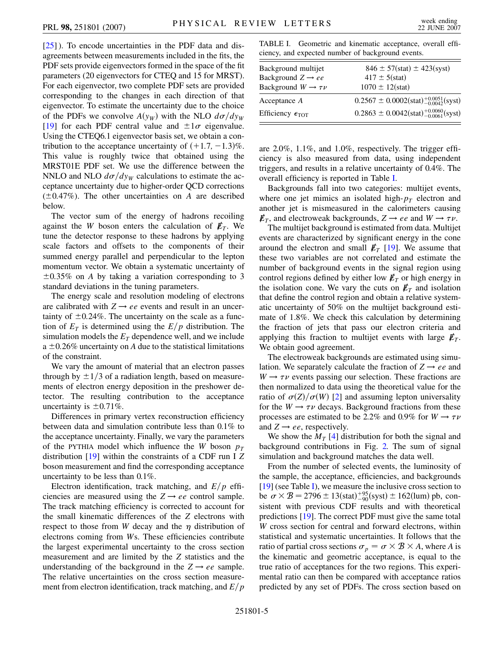$[25]$ ). To encode uncertainties in the PDF data and disagreements between measurements included in the fits, the PDF sets provide eigenvectors formed in the space of the fit parameters (20 eigenvectors for CTEQ and 15 for MRST). For each eigenvector, two complete PDF sets are provided corresponding to the changes in each direction of that eigenvector. To estimate the uncertainty due to the choice of the PDFs we convolve  $A(y_W)$  with the NLO  $d\sigma/dy_W$ [\[19\]](#page-8-35) for each PDF central value and  $\pm 1\sigma$  eigenvalue. Using the CTEQ6.1 eigenvector basis set, we obtain a contribution to the acceptance uncertainty of  $(+1.7, -1.3)\%$ . This value is roughly twice that obtained using the MRST01E PDF set. We use the difference between the NNLO and NLO  $d\sigma/dy_W$  calculations to estimate the acceptance uncertainty due to higher-order QCD corrections  $(\pm 0.47\%)$ . The other uncertainties on *A* are described below.

The vector sum of the energy of hadrons recoiling against the *W* boson enters the calculation of  $E_T$ . We tune the detector response to these hadrons by applying scale factors and offsets to the components of their summed energy parallel and perpendicular to the lepton momentum vector. We obtain a systematic uncertainty of  $\pm 0.35\%$  on *A* by taking a variation corresponding to 3 standard deviations in the tuning parameters.

The energy scale and resolution modeling of electrons are calibrated with  $Z \rightarrow ee$  events and result in an uncertainty of  $\pm 0.24\%$ . The uncertainty on the scale as a function of  $E_T$  is determined using the  $E/p$  distribution. The simulation models the  $E_T$  dependence well, and we include a  $\pm 0.26\%$  uncertainty on *A* due to the statistical limitations of the constraint.

We vary the amount of material that an electron passes through by  $\pm 1/3$  of a radiation length, based on measurements of electron energy deposition in the preshower detector. The resulting contribution to the acceptance uncertainty is  $\pm 0.71\%$ .

Differences in primary vertex reconstruction efficiency between data and simulation contribute less than 0.1% to the acceptance uncertainty. Finally, we vary the parameters of the PYTHIA model which influence the *W* boson  $p_T$ distribution [\[19\]](#page-8-35) within the constraints of a CDF run I *Z* boson measurement and find the corresponding acceptance uncertainty to be less than 0.1%.

Electron identification, track matching, and  $E/p$  efficiencies are measured using the  $Z \rightarrow ee$  control sample. The track matching efficiency is corrected to account for the small kinematic differences of the *Z* electrons with respect to those from *W* decay and the  $\eta$  distribution of electrons coming from *W*s. These efficiencies contribute the largest experimental uncertainty to the cross section measurement and are limited by the *Z* statistics and the understanding of the background in the  $Z \rightarrow ee$  sample. The relative uncertainties on the cross section measurement from electron identification, track matching, and  $E/p$ 

<span id="page-6-0"></span>TABLE I. Geometric and kinematic acceptance, overall efficiency, and expected number of background events.

| Background multijet                 | $846 \pm 57(stat) \pm 423(syst)$                    |
|-------------------------------------|-----------------------------------------------------|
| Background $Z \rightarrow ee$       | $417 \pm 5(stat)$                                   |
| Background $W \rightarrow \tau \nu$ | $1070 \pm 12(stat)$                                 |
| Acceptance A                        | $0.2567 \pm 0.0002(stat)_{-0.0042}^{+0.0051}(syst)$ |
| Efficiency $\epsilon_{\text{TOT}}$  | $0.2863 \pm 0.0042(stat)_{-0.0061}^{+0.0060}(syst)$ |

are 2.0%, 1.1%, and 1.0%, respectively. The trigger efficiency is also measured from data, using independent triggers, and results in a relative uncertainty of 0.4%. The overall efficiency is reported in Table [I](#page-6-0).

Backgrounds fall into two categories: multijet events, where one jet mimics an isolated high- $p_T$  electron and another jet is mismeasured in the calorimeters causing  $\not\hspace{-.15cm}\ell_T$ , and electroweak backgrounds,  $Z \rightarrow ee$  and  $W \rightarrow \tau \nu$ .

The multijet background is estimated from data. Multijet events are characterized by significant energy in the cone around the electron and small  $E_T$  [\[19\]](#page-8-35). We assume that these two variables are not correlated and estimate the number of background events in the signal region using control regions defined by either low  $E_T$  or high energy in the isolation cone. We vary the cuts on  $E_T$  and isolation that define the control region and obtain a relative systematic uncertainty of 50% on the multijet background estimate of 1.8%. We check this calculation by determining the fraction of jets that pass our electron criteria and applying this fraction to multijet events with large  $\not\hspace{-.15cm}/F_{T}$ . We obtain good agreement.

The electroweak backgrounds are estimated using simulation. We separately calculate the fraction of  $Z \rightarrow ee$  and  $W \rightarrow \tau \nu$  events passing our selection. These fractions are then normalized to data using the theoretical value for the ratio of  $\sigma(Z)/\sigma(W)$  [\[2](#page-8-18)] and assuming lepton universality for the  $W \rightarrow \tau \nu$  decays. Background fractions from these processes are estimated to be 2.2% and 0.9% for  $W \rightarrow \tau \nu$ and  $Z \rightarrow ee$ , respectively.

We show the  $M_T$  [[4](#page-8-20)] distribution for both the signal and background contributions in Fig. [2.](#page-7-0) The sum of signal simulation and background matches the data well.

From the number of selected events, the luminosity of the sample, the acceptance, efficiencies, and backgrounds [\[19\]](#page-8-35) (see Table [I](#page-6-0)), we measure the inclusive cross section to be  $\sigma \times B = 2796 \pm 13(stat)_{-90}^{+95}(syst) \pm 162(lum)$  pb, consistent with previous CDF results and with theoretical predictions [[19](#page-8-35)]. The correct PDF must give the same total *W* cross section for central and forward electrons, within statistical and systematic uncertainties. It follows that the ratio of partial cross sections  $\sigma_p = \sigma \times \mathcal{B} \times A$ , where *A* is the kinematic and geometric acceptance, is equal to the true ratio of acceptances for the two regions. This experimental ratio can then be compared with acceptance ratios predicted by any set of PDFs. The cross section based on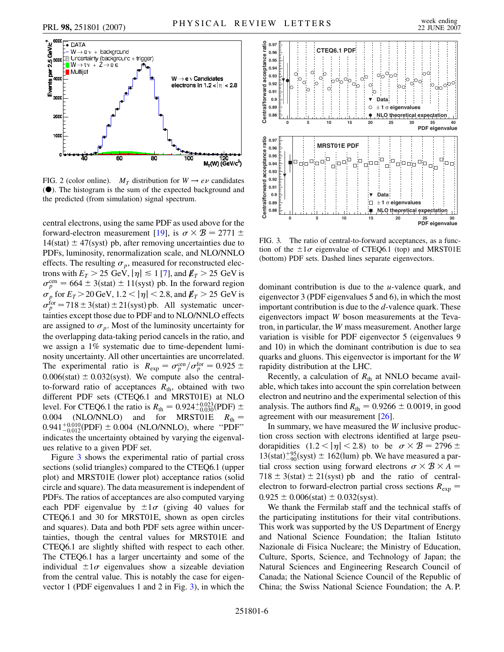<span id="page-7-0"></span>

FIG. 2 (color online).  $M_T$  distribution for  $W \rightarrow e \nu$  candidates  $(\bullet)$ . The histogram is the sum of the expected background and the predicted (from simulation) signal spectrum.

central electrons, using the same PDF as used above for the forward-electron measurement [[19](#page-8-35)], is  $\sigma \times \mathcal{B} = 2771 \pm$  $14(stat) \pm 47(syst)$  pb, after removing uncertainties due to PDFs, luminosity, renormalization scale, and NLO/NNLO effects. The resulting  $\sigma_p$ , measured for reconstructed electrons with  $E_T > 25 \text{ GeV}, |\eta| \le 1$  [\[7](#page-8-23)], and  $E_T > 25 \text{ GeV}$  is  $\sigma_p^{\text{cen}} = 664 \pm 3(\text{stat}) \pm 11(\text{syst})$  pb. In the forward region  $\sigma_p$  for  $E_T > 20$  GeV, 1.2 <  $|\eta|$  < 2.8, and  $\not\!\!E_T > 25$  GeV is  $\sigma_p^{\text{for}} = 718 \pm 3(\text{stat}) \pm 21(\text{syst})$  pb. All systematic uncertainties except those due to PDF and to NLO/NNLO effects are assigned to  $\sigma_p$ . Most of the luminosity uncertainty for the overlapping data-taking period cancels in the ratio, and we assign a 1% systematic due to time-dependent luminosity uncertainty. All other uncertainties are uncorrelated. The experimental ratio is  $R_{exp} = \frac{\sigma_p^{cen}}{\rho_p} / \frac{\sigma_p^{for}}{p} = 0.925 \pm \frac{1}{2}$  $0.006(stat) \pm 0.032(syst)$ . We compute also the centralto-forward ratio of acceptances  $R_{th}$ , obtained with two different PDF sets (CTEQ6.1 and MRST01E) at NLO level. For CTEQ6.1 the ratio is  $R_{\text{th}} = 0.924^{+0.023}_{-0.030}$  (PDF)  $\pm$ 0.004 (NLO/NNLO) and for MRST01E  $R_{\text{th}} =$  $0.941^{+0.010}_{-0.012}$ (PDF)  $\pm 0.004$  (NLO/NNLO), where "PDF" indicates the uncertainty obtained by varying the eigenvalues relative to a given PDF set.

Figure [3](#page-7-1) shows the experimental ratio of partial cross sections (solid triangles) compared to the CTEQ6.1 (upper plot) and MRST01E (lower plot) acceptance ratios (solid circle and square). The data measurement is independent of PDFs. The ratios of acceptances are also computed varying each PDF eigenvalue by  $\pm 1\sigma$  (giving 40 values for CTEQ6.1 and 30 for MRST01E, shown as open circles and squares). Data and both PDF sets agree within uncertainties, though the central values for MRST01E and CTEQ6.1 are slightly shifted with respect to each other. The CTEQ6.1 has a larger uncertainty and some of the individual  $\pm 1\sigma$  eigenvalues show a sizeable deviation from the central value. This is notably the case for eigenvector 1 (PDF eigenvalues 1 and 2 in Fig. [3\)](#page-7-1), in which the

<span id="page-7-1"></span>

FIG. 3. The ratio of central-to-forward acceptances, as a function of the  $\pm 1\sigma$  eigenvalue of CTEQ6.1 (top) and MRST01E (bottom) PDF sets. Dashed lines separate eigenvectors.

dominant contribution is due to the *u*-valence quark, and eigenvector 3 (PDF eigenvalues 5 and 6), in which the most important contribution is due to the *d*-valence quark. These eigenvectors impact *W* boson measurements at the Tevatron, in particular, the *W* mass measurement. Another large variation is visible for PDF eigenvector 5 (eigenvalues 9 and 10) in which the dominant contribution is due to sea quarks and gluons. This eigenvector is important for the *W* rapidity distribution at the LHC.

Recently, a calculation of  $R<sub>th</sub>$  at NNLO became available, which takes into account the spin correlation between electron and neutrino and the experimental selection of this analysis. The authors find  $R_{\text{th}} = 0.9266 \pm 0.0019$ , in good agreement with our measurement [[26](#page-8-42)].

In summary, we have measured the *W* inclusive production cross section with electrons identified at large pseudorapidities  $(1.2 < |\eta| < 2.8)$  to be  $\sigma \times B = 2796 \pm$  $13(stat)^{+95}_{-90}(syst) \pm 162(lum)$  pb. We have measured a partial cross section using forward electrons  $\sigma \times \mathcal{B} \times A =$  $718 \pm 3(stat) \pm 21(syst)$  pb and the ratio of centralelectron to forward-electron partial cross sections  $R_{\text{exp}} =$  $0.925 \pm 0.006(stat) \pm 0.032(syst).$ 

We thank the Fermilab staff and the technical staffs of the participating institutions for their vital contributions. This work was supported by the US Department of Energy and National Science Foundation; the Italian Istituto Nazionale di Fisica Nucleare; the Ministry of Education, Culture, Sports, Science, and Technology of Japan; the Natural Sciences and Engineering Research Council of Canada; the National Science Council of the Republic of China; the Swiss National Science Foundation; the A. P.